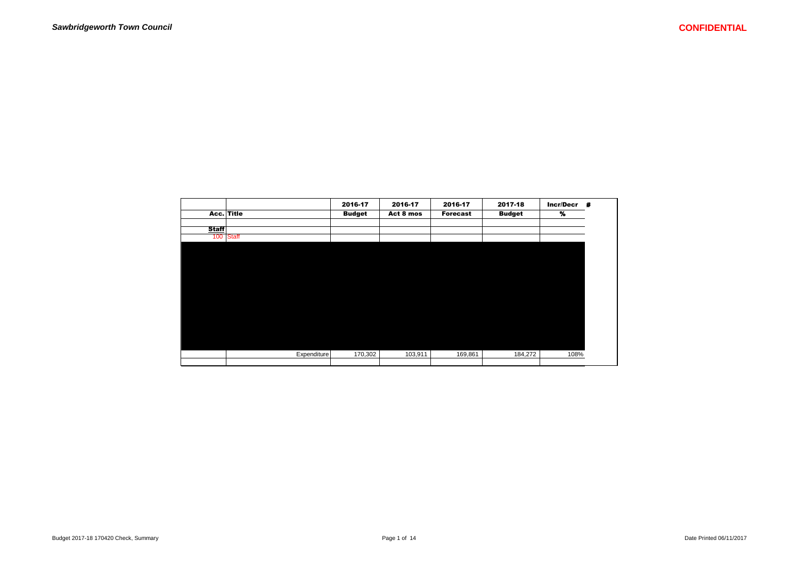|              |              | 2016-17       | 2016-17   | 2016-17         | 2017-18       | Incr/Decr # |  |
|--------------|--------------|---------------|-----------|-----------------|---------------|-------------|--|
| Acc. Title   |              | <b>Budget</b> | Act 8 mos | <b>Forecast</b> | <b>Budget</b> | %           |  |
| <b>Staff</b> |              |               |           |                 |               |             |  |
| 100          | <b>Staff</b> |               |           |                 |               |             |  |
|              |              |               |           |                 |               |             |  |
|              |              |               |           |                 |               |             |  |
|              |              |               |           |                 |               |             |  |
|              |              |               |           |                 |               |             |  |
|              |              |               |           |                 |               |             |  |
|              |              |               |           |                 |               |             |  |
|              |              |               |           |                 |               |             |  |
|              |              |               |           |                 |               |             |  |
|              |              |               |           |                 |               |             |  |
|              |              |               |           |                 |               |             |  |
|              |              |               |           |                 |               |             |  |
|              |              |               |           |                 |               |             |  |
|              | Expenditure  | 170,302       | 103,911   | 169,861         | 184,272       | 108%        |  |
|              |              |               |           |                 |               |             |  |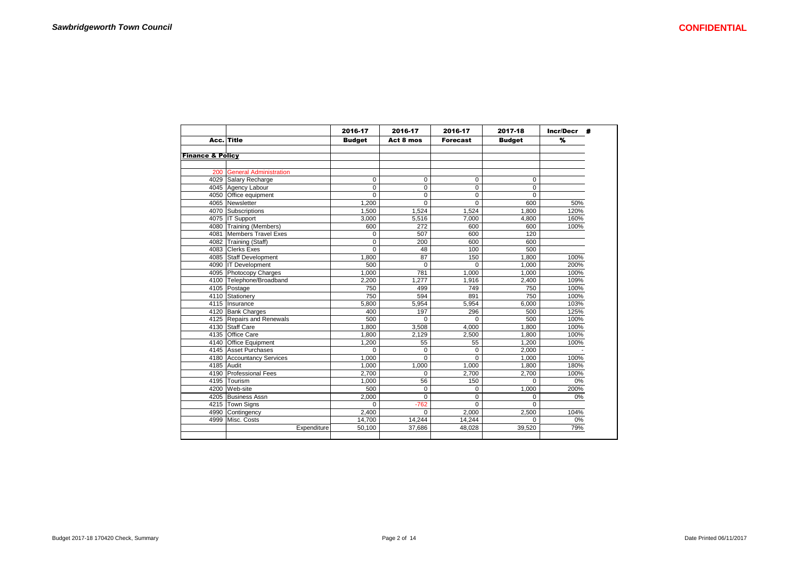|                             |                               | 2016-17       | 2016-17     | 2016-17         | 2017-18       | Incr/Decr # |
|-----------------------------|-------------------------------|---------------|-------------|-----------------|---------------|-------------|
|                             | Acc. Title                    | <b>Budget</b> | Act 8 mos   | <b>Forecast</b> | <b>Budget</b> | %           |
|                             |                               |               |             |                 |               |             |
| <b>Finance &amp; Policy</b> |                               |               |             |                 |               |             |
|                             |                               |               |             |                 |               |             |
| 200                         | <b>General Administration</b> |               |             |                 |               |             |
|                             | 4029 Salary Recharge          | 0             | $\mathbf 0$ | $\mathbf 0$     | $\mathbf 0$   |             |
|                             | 4045 Agency Labour            | 0             | $\mathbf 0$ | $\mathbf 0$     | 0             |             |
|                             | 4050 Office equipment         | $\mathbf 0$   | 0           | $\mathbf 0$     | $\mathbf 0$   |             |
|                             | 4065 Newsletter               | 1,200         | $\Omega$    | $\Omega$        | 600           | 50%         |
|                             | 4070 Subscriptions            | 1,500         | 1,524       | 1,524           | 1,800         | 120%        |
|                             | 4075   IT Support             | 3,000         | 5,516       | 7,000           | 4,800         | 160%        |
|                             | 4080 Training (Members)       | 600           | 272         | 600             | 600           | 100%        |
|                             | 4081 Members Travel Exes      | 0             | 507         | 600             | 120           |             |
|                             | 4082 Training (Staff)         | $\Omega$      | 200         | 600             | 600           |             |
|                             | 4083 Clerks Exes              | 0             | 48          | 100             | 500           |             |
|                             | 4085 Staff Development        | 1.800         | 87          | 150             | 1.800         | 100%        |
|                             | 4090 IT Development           | 500           | $\Omega$    | $\Omega$        | 1,000         | 200%        |
|                             | 4095 Photocopy Charges        | 1.000         | 781         | 1,000           | 1,000         | 100%        |
|                             | 4100 Telephone/Broadband      | 2,200         | 1.277       | 1,916           | 2,400         | 109%        |
|                             | 4105 Postage                  | 750           | 499         | 749             | 750           | 100%        |
|                             | 4110 Stationery               | 750           | 594         | 891             | 750           | 100%        |
|                             | 4115   Insurance              | 5,800         | 5,954       | 5,954           | 6,000         | 103%        |
|                             | 4120 Bank Charges             | 400           | 197         | 296             | 500           | 125%        |
|                             | 4125 Repairs and Renewals     | 500           | $\Omega$    | $\Omega$        | 500           | 100%        |
|                             | 4130 Staff Care               | 1,800         | 3,508       | 4,000           | 1,800         | 100%        |
|                             | 4135 Office Care              | 1.800         | 2.129       | 2.500           | 1.800         | 100%        |
|                             | 4140 Office Equipment         | 1,200         | 55          | 55              | 1,200         | 100%        |
|                             | 4145 Asset Purchases          | $\Omega$      | $\mathbf 0$ | $\mathbf 0$     | 2,000         |             |
|                             | 4180 Accountancy Services     | 1,000         | $\Omega$    | $\Omega$        | 1,000         | 100%        |
|                             | 4185 Audit                    | 1,000         | 1.000       | 1,000           | 1,800         | 180%        |
|                             | 4190 Professional Fees        | 2,700         | $\Omega$    | 2.700           | 2.700         | 100%        |
|                             | 4195 Tourism                  | 1,000         | 56          | 150             | $\Omega$      | 0%          |
|                             | 4200 Web-site                 | 500           | $\mathbf 0$ | $\mathbf 0$     | 1.000         | 200%        |
|                             | 4205 Business Assn            | 2,000         | $\Omega$    | 0               | 0             | 0%          |
|                             | 4215 Town Signs               | $\Omega$      | $-762$      | $\Omega$        | $\Omega$      |             |
|                             | 4990 Contingency              | 2,400         | $\Omega$    | 2,000           | 2,500         | 104%        |
| 4999                        | Misc. Costs                   | 14,700        | 14,244      | 14,244          | $\Omega$      | 0%          |
|                             | Expenditure                   | 50,100        | 37.686      | 48.028          | 39,520        | 79%         |
|                             |                               |               |             |                 |               |             |
|                             |                               |               |             |                 |               |             |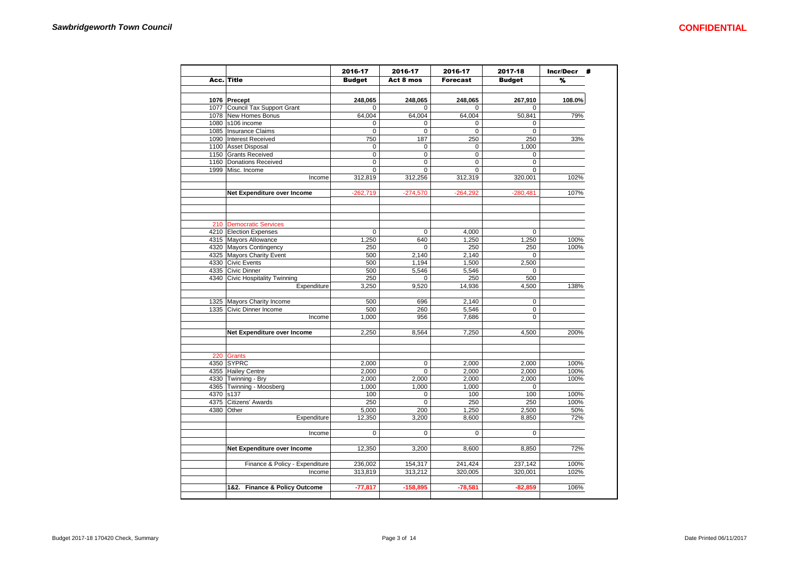|           |                                                      | 2016-17        | 2016-17        | 2016-17         | 2017-18       | <b>Incr/Decr</b> | я |
|-----------|------------------------------------------------------|----------------|----------------|-----------------|---------------|------------------|---|
|           | Acc. Title                                           | <b>Budget</b>  | Act 8 mos      | <b>Forecast</b> | <b>Budget</b> | %                |   |
|           |                                                      |                |                |                 |               |                  |   |
|           | 1076 Precept                                         | 248,065        | 248,065        | 248,065         | 267,910       | 108.0%           |   |
|           | 1077 Council Tax Support Grant                       | 0              | 0              | $\Omega$        |               |                  |   |
|           | 1078 New Homes Bonus                                 | 64,004         | 64,004         | 64,004          | 50,841        | 79%              |   |
|           | 1080 s106 income                                     | 0              | $\Omega$       | $\Omega$        | $\Omega$      |                  |   |
|           | 1085   Insurance Claims                              | $\mathbf 0$    | $\mathbf 0$    | $\mathbf 0$     | $\mathbf 0$   |                  |   |
|           | 1090 Interest Received                               | 750            | 187            | 250             | 250           | 33%              |   |
|           | 1100 Asset Disposal                                  | 0              | $\mathbf 0$    | $\Omega$        | 1,000         |                  |   |
|           | 1150 Grants Received                                 | 0              | $\mathbf 0$    | $\mathbf 0$     | 0             |                  |   |
|           | 1160 Donations Received                              | $\overline{0}$ | $\overline{0}$ | $\mathbf 0$     | $\Omega$      |                  |   |
|           | 1999 Misc. Income                                    | 0              | $\mathbf 0$    | $\mathbf 0$     | $\Omega$      |                  |   |
|           | Income                                               | 312,819        | 312,256        | 312,319         | 320,001       | 102%             |   |
|           |                                                      |                |                |                 |               |                  |   |
|           | Net Expenditure over Income                          | $-262,719$     | $-274,570$     | $-264,292$      | $-280,481$    | 107%             |   |
|           |                                                      |                |                |                 |               |                  |   |
|           |                                                      |                |                |                 |               |                  |   |
|           |                                                      |                |                |                 |               |                  |   |
| 210       | <b>Democratic Services</b><br>4210 Election Expenses | $\pmb{0}$      | $\mathbf 0$    | 4,000           | $\pmb{0}$     |                  |   |
|           | 4315 Mayors Allowance                                | 1,250          | 640            |                 | 1,250         | 100%             |   |
|           | 4320 Mayors Contingency                              | 250            | $\mathbf 0$    | 1,250<br>250    | 250           | 100%             |   |
|           | 4325 Mayors Charity Event                            | 500            | 2,140          | 2,140           | $\mathbf 0$   |                  |   |
|           | 4330 Civic Events                                    | 500            | 1,194          | 1,500           | 2,500         |                  |   |
|           | 4335 Civic Dinner                                    | 500            | 5,546          | 5,546           | $\Omega$      |                  |   |
|           | 4340 Civic Hospitality Twinning                      | 250            | $\Omega$       | 250             | 500           |                  |   |
|           | Expenditure                                          | 3,250          | 9,520          | 14,936          | 4,500         | 138%             |   |
|           |                                                      |                |                |                 |               |                  |   |
|           | 1325 Mayors Charity Income                           | 500            | 696            | 2,140           | $\pmb{0}$     |                  |   |
|           | 1335 Civic Dinner Income                             | 500            | 260            | 5,546           | $\Omega$      |                  |   |
|           | Income                                               | 1,000          | 956            | 7,686           | $\mathbf 0$   |                  |   |
|           |                                                      |                |                |                 |               |                  |   |
|           | Net Expenditure over Income                          | 2,250          | 8,564          | 7,250           | 4,500         | 200%             |   |
|           |                                                      |                |                |                 |               |                  |   |
|           |                                                      |                |                |                 |               |                  |   |
| 220       | Grants                                               |                |                |                 |               |                  |   |
|           | 4350 SYPRC                                           | 2,000          | $\mathbf 0$    | 2,000           | 2,000         | 100%             |   |
|           | 4355 Hailey Centre                                   | 2,000          | $\Omega$       | 2,000           | 2,000         | 100%             |   |
|           | 4330 Twinning - Bry                                  | 2,000          | 2,000          | 2,000           | 2,000         | 100%             |   |
|           | 4365 Twinning - Moosberg                             | 1,000          | 1.000          | 1,000           | $\mathbf 0$   |                  |   |
| 4370 s137 |                                                      | 100            | $\mathbf 0$    | 100             | 100           | 100%             |   |
|           | 4375 Citizens' Awards                                | 250            | $\mathbf 0$    | 250             | 250           | 100%             |   |
|           | 4380 Other                                           | 5,000          | 200            | 1,250           | 2,500         | 50%              |   |
|           | Expenditure                                          | 12,350         | 3,200          | 8,600           | 8,850         | 72%              |   |
|           |                                                      | $\mathbf 0$    | $\mathbf 0$    | $\mathbf 0$     | $\mathbf 0$   |                  |   |
|           | Income                                               |                |                |                 |               |                  |   |
|           | Net Expenditure over Income                          | 12,350         | 3,200          | 8,600           | 8,850         | 72%              |   |
|           |                                                      |                |                |                 |               |                  |   |
|           | Finance & Policy - Expenditure                       | 236,002        | 154,317        | 241,424         | 237,142       | 100%             |   |
|           | Income                                               | 313,819        | 313,212        | 320,005         | 320,001       | 102%             |   |
|           |                                                      |                |                |                 |               |                  |   |
|           | 1&2. Finance & Policy Outcome                        | $-77,817$      | $-158,895$     | $-78,581$       | $-82,859$     | 106%             |   |
|           |                                                      |                |                |                 |               |                  |   |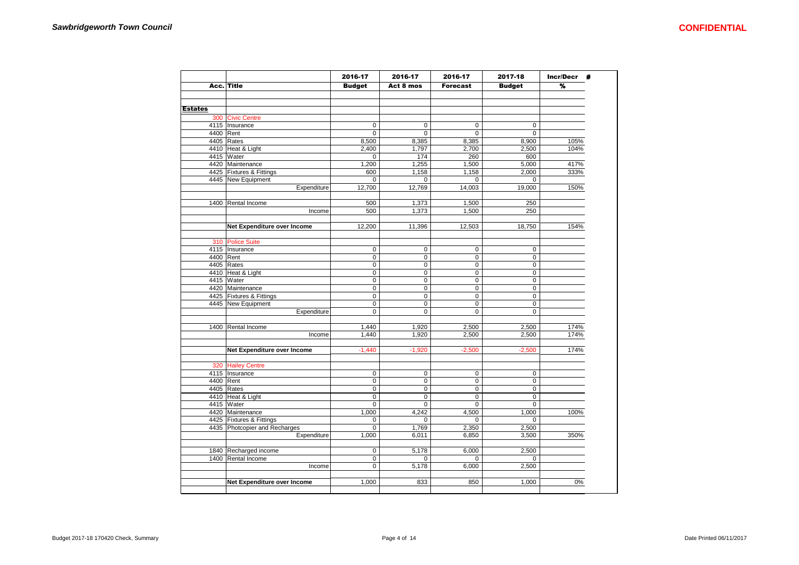|                |                                 | 2016-17          | 2016-17          | 2016-17         | 2017-18          | Incr/Decr # |
|----------------|---------------------------------|------------------|------------------|-----------------|------------------|-------------|
|                | Acc. Title                      | <b>Budget</b>    | Act 8 mos        | <b>Forecast</b> | <b>Budget</b>    | %           |
|                |                                 |                  |                  |                 |                  |             |
| <b>Estates</b> |                                 |                  |                  |                 |                  |             |
|                | 300 Civic Centre                |                  |                  |                 |                  |             |
|                | 4115   Insurance                | 0                | 0                | $\pmb{0}$       | $\mathbf 0$      |             |
|                | 4400 Rent                       | $\pmb{0}$        | 0                | 0               | $\mathbf 0$      |             |
|                | 4405 Rates                      | 8,500            | 8,385            | 8,385           | 8,900            | 105%        |
|                | 4410 Heat & Light               | 2,400            | 1,797            | 2,700           | 2,500            | 104%        |
|                | 4415 Water                      | 0                | 174              | 260             | 600              |             |
|                | 4420 Maintenance                | 1,200            | 1,255            | 1,500           | 5,000            | 417%        |
|                | 4425 Fixtures & Fittings        | 600              | 1,158            | 1,158           | 2.000            | 333%        |
|                | 4445 New Equipment              | $\Omega$         | $\Omega$         | $\Omega$        | $\mathbf 0$      |             |
|                | Expenditure                     | 12,700           | 12,769           | 14,003          | 19,000           | 150%        |
|                |                                 |                  |                  |                 |                  |             |
|                | 1400 Rental Income              | 500              | 1,373            | 1,500           | 250              |             |
|                | Income                          | 500              | 1,373            | 1,500           | 250              |             |
|                | Net Expenditure over Income     | 12,200           | 11,396           | 12,503          | 18,750           | 154%        |
|                |                                 |                  |                  |                 |                  |             |
|                | 310 Police Suite                |                  |                  |                 |                  |             |
|                | 4115   Insurance                | 0                | 0                | 0               | $\mathbf 0$      |             |
|                | 4400 Rent                       | 0                | 0                | 0               | 0                |             |
|                | 4405 Rates                      | 0                | 0                | 0               | 0                |             |
|                | 4410 Heat & Light<br>4415 Water | 0                | 0                | 0               | $\mathbf 0$      |             |
|                | 4420 Maintenance                | 0<br>$\mathbf 0$ | 0<br>$\mathbf 0$ | 0<br>0          | 0<br>$\mathbf 0$ |             |
|                | 4425 Fixtures & Fittings        | $\mathbf 0$      | $\overline{0}$   | 0               | $\mathbf 0$      |             |
|                | 4445 New Equipment              | 0                | 0                | 0               | 0                |             |
|                | Expenditure                     | $\Omega$         | $\Omega$         | $\Omega$        | $\Omega$         |             |
|                |                                 |                  |                  |                 |                  |             |
|                | 1400 Rental Income              | 1,440            | 1,920            | 2,500           | 2,500            | 174%        |
|                | Income                          | 1,440            | 1,920            | 2,500           | 2,500            | 174%        |
|                | Net Expenditure over Income     | $-1,440$         | $-1,920$         | $-2,500$        | $-2,500$         | 174%        |
|                |                                 |                  |                  |                 |                  |             |
|                | 320 Hailey Centre               |                  |                  |                 |                  |             |
|                | 4115   Insurance                | 0                | 0                | $\pmb{0}$       | $\mathbf 0$      |             |
|                | 4400 Rent                       | 0                | 0                | 0               | $\pmb{0}$        |             |
|                | 4405 Rates                      | $\mathbf 0$      | 0                | 0               | $\mathbf 0$      |             |
|                | 4410 Heat & Light               | 0                | $\Omega$         | 0               | 0                |             |
|                | 4415 Water                      | $\mathbf 0$      | 0                | 0               | $\mathbf 0$      |             |
|                | 4420 Maintenance                | 1,000            | 4,242            | 4,500           | 1,000            | 100%        |
|                | 4425 Fixtures & Fittings        | 0                | 0                | 0               | $\mathbf 0$      |             |
|                | 4435 Photcopier and Recharges   | $\mathbf 0$      | 1,769            | 2,350           | 2,500            |             |
|                | Expenditure                     | 1,000            | 6,011            | 6,850           | 3,500            | 350%        |
|                | 1840 Recharged income           | 0                | 5,178            | 6,000           | 2,500            |             |
|                | 1400 Rental Income              | 0                | 0                | 0               | 0                |             |
|                | Income                          | 0                | 5,178            | 6,000           | 2,500            |             |
|                |                                 |                  |                  |                 |                  |             |
|                | Net Expenditure over Income     | 1,000            | 833              | 850             | 1,000            | 0%          |
|                |                                 |                  |                  |                 |                  |             |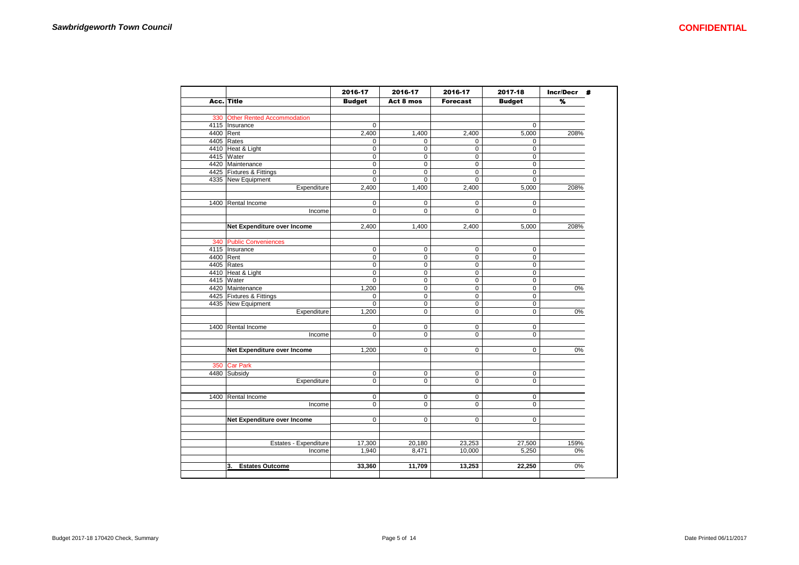┑

|     |                                | 2016-17        | 2016-17        | 2016-17         | 2017-18        | Incr/Decr #              |  |
|-----|--------------------------------|----------------|----------------|-----------------|----------------|--------------------------|--|
|     | Acc. Title                     | <b>Budget</b>  | Act 8 mos      | <b>Forecast</b> | <b>Budget</b>  | $\overline{\mathcal{H}}$ |  |
|     |                                |                |                |                 |                |                          |  |
|     | 330 Other Rented Accommodation |                |                |                 |                |                          |  |
|     | 4115   Insurance               | $\mathbf 0$    |                |                 | $\mathbf 0$    |                          |  |
|     | 4400 Rent                      | 2,400          | 1,400          | 2,400           | 5,000          | 208%                     |  |
|     | 4405 Rates                     | 0              | 0              | $\pmb{0}$       | $\mathbf 0$    |                          |  |
|     | 4410 Heat & Light              | 0              | $\pmb{0}$      | $\pmb{0}$       | 0              |                          |  |
|     | 4415 Water                     | 0              | 0              | $\mathbf 0$     | $\mathbf 0$    |                          |  |
|     | 4420 Maintenance               | $\pmb{0}$      | 0              | $\pmb{0}$       | $\pmb{0}$      |                          |  |
|     | 4425 Fixtures & Fittings       | 0              | $\mathbf 0$    | $\mathbf 0$     | $\mathbf 0$    |                          |  |
|     | 4335 New Equipment             | $\mathbf 0$    | $\mathbf 0$    | $\mathbf 0$     | $\mathbf 0$    |                          |  |
|     | Expenditure                    | 2,400          | 1,400          | 2,400           | 5,000          | 208%                     |  |
|     |                                |                |                |                 |                |                          |  |
|     | 1400 Rental Income             | $\pmb{0}$      | $\pmb{0}$      | 0               | 0              |                          |  |
|     | Income                         | $\overline{0}$ | $\overline{0}$ | $\overline{0}$  | $\overline{0}$ |                          |  |
|     |                                |                |                |                 |                |                          |  |
|     | Net Expenditure over Income    | 2.400          | 1.400          | 2,400           | 5,000          | 208%                     |  |
|     |                                |                |                |                 |                |                          |  |
|     | 340 Public Conveniences        |                |                |                 |                |                          |  |
|     | 4115   Insurance               | $\mathbf 0$    | $\pmb{0}$      | $\pmb{0}$       | 0              |                          |  |
|     | 4400 Rent                      | $\pmb{0}$      | $\mathbf 0$    | $\pmb{0}$       | $\mathbf 0$    |                          |  |
|     | 4405 Rates                     | 0              | $\pmb{0}$      | $\pmb{0}$       | $\mathbf 0$    |                          |  |
|     | 4410 Heat & Light              | 0              | $\mathbf 0$    | $\mathbf 0$     | $\mathbf 0$    |                          |  |
|     | 4415 Water                     | $\pmb{0}$      | 0              | $\pmb{0}$       | 0              |                          |  |
|     | 4420 Maintenance               | 1,200          | $\pmb{0}$      | $\mathbf 0$     | $\pmb{0}$      | 0%                       |  |
|     | 4425 Fixtures & Fittings       | 0              | $\pmb{0}$      | $\pmb{0}$       | 0              |                          |  |
|     | 4435 New Equipment             | 0              | 0              | $\mathbf 0$     | $\mathbf 0$    |                          |  |
|     | Expenditure                    | 1,200          | 0              | $\mathbf 0$     | $\mathbf 0$    | 0%                       |  |
|     |                                |                |                |                 |                |                          |  |
|     | 1400 Rental Income             | 0              | $\mathbf 0$    | $\pmb{0}$       | 0              |                          |  |
|     | Income                         | 0              | 0              | $\mathbf 0$     | $\mathbf 0$    |                          |  |
|     |                                |                |                |                 |                |                          |  |
|     | Net Expenditure over Income    | 1,200          | 0              | $\mathbf 0$     | $\mathbf 0$    | 0%                       |  |
|     |                                |                |                |                 |                |                          |  |
| 350 | <b>Car Park</b>                |                |                |                 |                |                          |  |
|     | 4480 Subsidy                   | 0              | 0              | $\mathbf 0$     | 0              |                          |  |
|     | Expenditure                    | 0              | 0              | $\mathbf 0$     | $\mathbf 0$    |                          |  |
|     |                                |                |                |                 |                |                          |  |
|     | 1400 Rental Income             | $\mathbf 0$    | $\pmb{0}$      | $\mathbf 0$     | $\mathbf 0$    |                          |  |
|     | Income                         | $\Omega$       | $\mathbf 0$    | $\Omega$        | $\Omega$       |                          |  |
|     |                                |                |                |                 |                |                          |  |
|     | Net Expenditure over Income    | $\mathbf 0$    | $\pmb{0}$      | 0               | $\mathbf 0$    |                          |  |
|     |                                |                |                |                 |                |                          |  |
|     |                                |                |                |                 |                |                          |  |
|     | Estates - Expenditure          | 17,300         | 20,180         | 23,253          | 27,500         | 159%                     |  |
|     | Income                         | 1.940          | 8,471          | 10,000          | 5,250          | 0%                       |  |
|     |                                |                |                |                 |                |                          |  |
|     |                                |                |                |                 |                |                          |  |
|     | <b>Estates Outcome</b><br>3.   | 33,360         | 11,709         | 13,253          | 22,250         | $0\%$                    |  |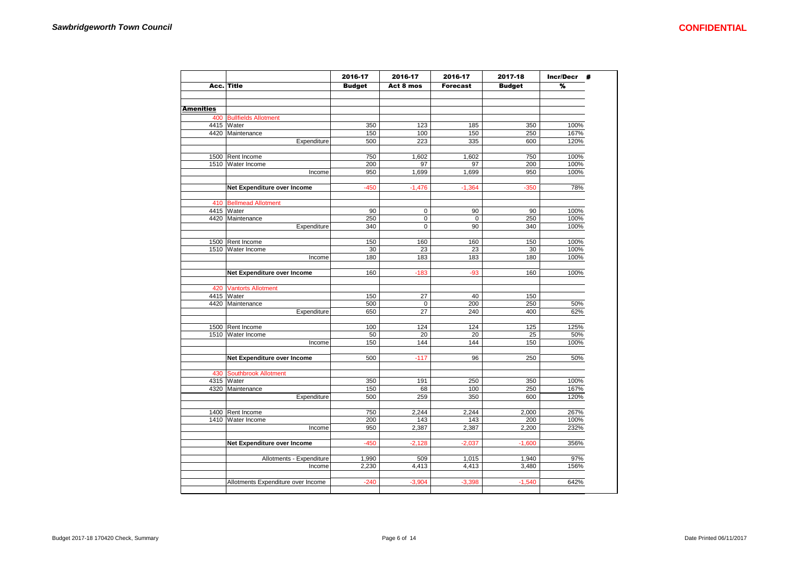┑

|           |                                       | 2016-17       | 2016-17   | 2016-17         | 2017-18       | Incr/Decr   | - 8 |
|-----------|---------------------------------------|---------------|-----------|-----------------|---------------|-------------|-----|
| Acc.      | <b>Title</b>                          | <b>Budget</b> | Act 8 mos | <b>Forecast</b> | <b>Budget</b> | %           |     |
|           |                                       |               |           |                 |               |             |     |
|           |                                       |               |           |                 |               |             |     |
| Amenities |                                       |               |           |                 |               |             |     |
| 400       | <b>Bullfields Allotment</b>           |               |           |                 |               |             |     |
|           | 4415 Water                            | 350           | 123       | 185             | 350           | 100%        |     |
|           | 4420 Maintenance                      | 150           | 100       | 150             | 250           | 167%        |     |
|           | Expenditure                           | 500           | 223       | 335             | 600           | 120%        |     |
|           | 1500 Rent Income                      | 750           | 1,602     | 1,602           | 750           | 100%        |     |
|           | 1510 Water Income                     | 200           | 97        | 97              | 200           | 100%        |     |
|           | Income                                | 950           | 1,699     | 1,699           | 950           | 100%        |     |
|           |                                       |               |           |                 |               |             |     |
|           | Net Expenditure over Income           | $-450$        | $-1,476$  | $-1,364$        | $-350$        | 78%         |     |
|           |                                       |               |           |                 |               |             |     |
| 410       | <b>Bellmead Allotment</b>             |               |           |                 |               |             |     |
|           | 4415 Water                            | 90            | 0         | 90              | 90            | 100%        |     |
|           | 4420 Maintenance                      | 250           | 0         | $\mathbf 0$     | 250           | 100%        |     |
|           | Expenditure                           | 340           | 0         | 90              | 340           | 100%        |     |
|           |                                       |               |           |                 |               |             |     |
|           | 1500 Rent Income                      | 150           | 160       | 160             | 150           | 100%        |     |
|           | 1510 Water Income                     | 30            | 23        | 23              | 30            | 100%        |     |
|           | Income                                | 180           | 183       | 183             | 180           | 100%        |     |
|           |                                       |               |           |                 |               |             |     |
|           | Net Expenditure over Income           | 160           | $-183$    | $-93$           | 160           | 100%        |     |
|           |                                       |               |           |                 |               |             |     |
| 420       | <b>Vantorts Allotment</b>             |               |           |                 |               |             |     |
|           | 4415 Water                            | 150           | 27        | 40              | 150           |             |     |
|           | 4420 Maintenance                      | 500           | $\pmb{0}$ | 200             | 250           | 50%         |     |
|           | Expenditure                           | 650           | 27        | 240             | 400           | 62%         |     |
|           |                                       |               |           |                 |               |             |     |
|           | 1500 Rent Income<br>1510 Water Income | 100<br>50     | 124<br>20 | 124<br>20       | 125<br>25     | 125%<br>50% |     |
|           |                                       |               |           | 144             | 150           |             |     |
|           | Income                                | 150           | 144       |                 |               | 100%        |     |
|           | Net Expenditure over Income           | 500           | $-117$    | 96              | 250           | 50%         |     |
|           |                                       |               |           |                 |               |             |     |
| 430       | Southbrook Allotment                  |               |           |                 |               |             |     |
|           | 4315 Water                            | 350           | 191       | 250             | 350           | 100%        |     |
|           | 4320 Maintenance                      | 150           | 68        | 100             | 250           | 167%        |     |
|           | Expenditure                           | 500           | 259       | 350             | 600           | 120%        |     |
|           |                                       |               |           |                 |               |             |     |
|           | 1400 Rent Income                      | 750           | 2,244     | 2,244           | 2,000         | 267%        |     |
|           | 1410 Water Income                     | 200           | 143       | 143             | 200           | 100%        |     |
|           | Income                                | 950           | 2,387     | 2,387           | 2,200         | 232%        |     |
|           |                                       |               |           |                 |               |             |     |
|           | Net Expenditure over Income           | $-450$        | $-2,128$  | $-2,037$        | $-1,600$      | 356%        |     |
|           |                                       |               |           |                 |               |             |     |
|           | Allotments - Expenditure              | 1,990         | 509       | 1,015           | 1,940         | 97%         |     |
|           | Income                                | 2,230         | 4,413     | 4,413           | 3,480         | 156%        |     |
|           |                                       |               |           |                 |               |             |     |
|           | Allotments Expenditure over Income    | $-240$        | $-3,904$  | $-3,398$        | $-1,540$      | 642%        |     |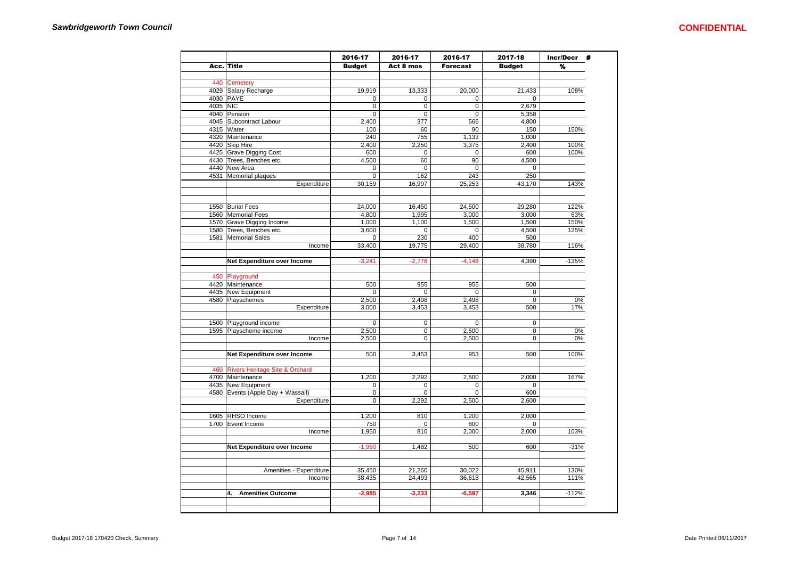|          |                                    | 2016-17       | 2016-17               | 2016-17         | 2017-18       | Incr/Decr<br>単 |
|----------|------------------------------------|---------------|-----------------------|-----------------|---------------|----------------|
|          | Acc. Title                         | <b>Budget</b> | Act 8 mos             | <b>Forecast</b> | <b>Budget</b> | %              |
|          |                                    |               |                       |                 |               |                |
| 440      | Cemetery                           |               |                       |                 |               |                |
|          | 4029 Salary Recharge               | 19,919        | 13,333                | 20,000          | 21,433        | 108%           |
|          | 4030 PAYE                          | 0             | 0                     | 0               | 0             |                |
| 4035 NIC |                                    | 0             | $\overline{\text{o}}$ | $\pmb{0}$       | 2,679         |                |
|          | 4040 Pension                       | 0             | $\mathbf 0$           | $\mathbf 0$     | 5,358         |                |
|          | 4045 Subcontract Labour            | 2,400         | 377                   | 566             | 4,800         |                |
|          | 4315 Water                         | 100           | 60                    | 90              | 150           | 150%           |
|          | 4320 Maintenance                   | 240           | 755                   | 1,133           | 1,000         |                |
|          | 4420 Skip Hire                     | 2,400         | 2,250                 | 3,375           | 2,400         | 100%           |
|          | 4425 Grave Digging Cost            | 600           | $\mathbf 0$           | $\mathbf 0$     | 600           | 100%           |
|          | 4430 Trees, Benches etc.           | 4,500         | 60                    | 90              | 4,500         |                |
| 4440     | New Area                           | 0             | 0                     | $\mathbf 0$     | $\mathbf 0$   |                |
| 4531     | Memorial plaques                   | 0             | 162                   | 243             | 250           |                |
|          | Expenditure                        | 30,159        | 16,997                | 25,253          | 43,170        | 143%           |
|          |                                    |               |                       |                 |               |                |
|          | 1550 Burial Fees                   | 24,000        | 16,450                | 24,500          | 29,280        | 122%           |
|          | 1560 Memorial Fees                 | 4,800         | 1,995                 | 3,000           | 3,000         | 63%            |
|          | 1570 Grave Digging Income          | 1,000         | 1,100                 | 1,500           | 1,500         | 150%           |
|          | 1580 Trees, Benches etc.           | 3,600         | $\mathbf 0$           | $\mathbf 0$     | 4,500         | 125%           |
|          | 1581 Memorial Sales                | 0             | 230                   | 400             | 500           |                |
|          | Income                             | 33,400        | 19,775                | 29,400          | 38,780        | 116%           |
|          | Net Expenditure over Income        | $-3,241$      | $-2,778$              | $-4,148$        | 4,390         | $-135%$        |
|          |                                    |               |                       |                 |               |                |
| 450      | Playground                         |               |                       |                 |               |                |
|          | 4420 Maintenance                   | 500           | 955                   | 955             | 500           |                |
|          | 4435 New Equipment                 | 0             | 0                     | $\mathbf 0$     | 0             |                |
|          | 4580 Playschemes                   | 2,500         | 2,498                 | 2,498           | $\mathbf 0$   | 0%             |
|          | Expenditure                        | 3,000         | 3,453                 | 3,453           | 500           | 17%            |
|          | 1500 Playground income             | 0             | 0                     | $\mathbf 0$     | $\mathbf 0$   |                |
|          | 1595 Playscheme income             | 2,500         | 0                     | 2,500           | 0             | $0\%$          |
|          | Income                             | 2,500         | $\mathbf 0$           | 2,500           | $\mathbf 0$   | $0\%$          |
|          |                                    |               |                       |                 |               |                |
|          | Net Expenditure over Income        | 500           | 3,453                 | 953             | 500           | 100%           |
|          | 460 Rivers Heritage Site & Orchard |               |                       |                 |               |                |
|          | 4700 Maintenance                   | 1,200         | 2,292                 | 2,500           | 2,000         | 167%           |
|          | 4435 New Equipment                 | 0             | 0                     | 0               | $\mathbf 0$   |                |
|          | 4580 Events (Apple Day + Wassail)  | 0             | 0                     | 0               | 600           |                |
|          | Expenditure                        | 0             | 2,292                 | 2,500           | 2,600         |                |
|          |                                    |               |                       |                 |               |                |
|          | 1605 RHSO Income                   | 1,200         | 810                   | 1,200           | 2,000         |                |
|          | 1700 Event Income                  | 750           | 0                     | 800             |               |                |
|          | Income                             | 1,950         | 810                   | 2,000           | 2,000         | 103%           |
|          | Net Expenditure over Income        | $-1,950$      | 1,482                 | 500             | 600           | $-31%$         |
|          |                                    |               |                       |                 |               |                |
|          | Amenities - Expenditure            | 35,450        | 21,260                | 30,022          | 45,911        | 130%           |
|          | Income                             | 38,435        | 24,493                | 36,618          | 42,565        | 111%           |
|          |                                    |               |                       |                 |               |                |
|          | 4.<br><b>Amenities Outcome</b>     | $-2,985$      | $-3,233$              | $-6,597$        | 3,346         | $-112%$        |
|          |                                    |               |                       |                 |               |                |
|          |                                    |               |                       |                 |               |                |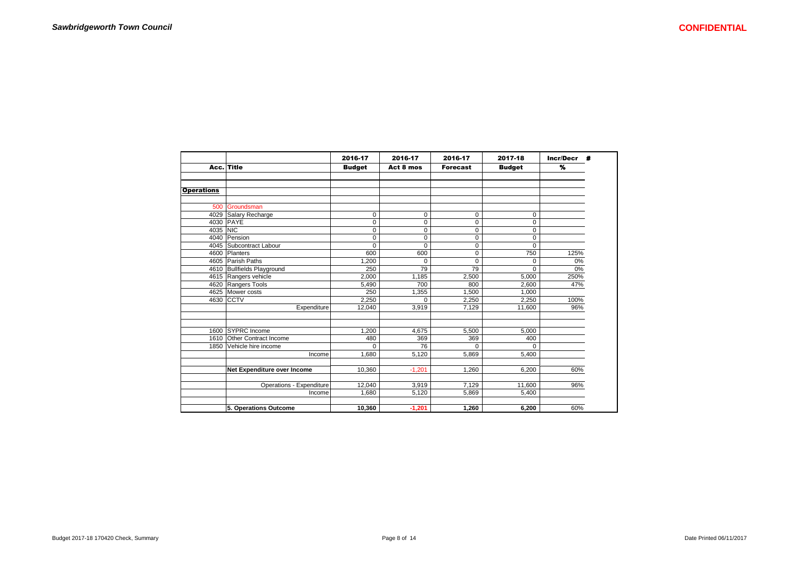|                   |                              | 2016-17       | 2016-17     | 2016-17         | 2017-18       | Incr/Decr # |
|-------------------|------------------------------|---------------|-------------|-----------------|---------------|-------------|
|                   | Acc. Title                   | <b>Budget</b> | Act 8 mos   | <b>Forecast</b> | <b>Budget</b> | %           |
|                   |                              |               |             |                 |               |             |
|                   |                              |               |             |                 |               |             |
| <b>Operations</b> |                              |               |             |                 |               |             |
| 500               | Groundsman                   |               |             |                 |               |             |
| 4029              | Salary Recharge              | 0             | 0           | 0               | 0             |             |
| 4030              | <b>PAYE</b>                  | 0             | $\mathbf 0$ | 0               | 0             |             |
| 4035 NIC          |                              | 0             | $\pmb{0}$   | 0               | 0             |             |
| 4040              | Pension                      | $\Omega$      | $\mathbf 0$ | $\Omega$        | $\Omega$      |             |
|                   | 4045 Subcontract Labour      | $\Omega$      | $\Omega$    | 0               | $\Omega$      |             |
| 4600              | Planters                     | 600           | 600         | 0               | 750           | 125%        |
|                   | 4605 Parish Paths            | 1.200         | $\Omega$    | $\mathbf 0$     | $\Omega$      | 0%          |
| 4610              | <b>Bullfields Playground</b> | 250           | 79          | 79              | $\Omega$      | 0%          |
|                   | 4615 Rangers vehicle         | 2,000         | 1,185       | 2,500           | 5,000         | 250%        |
|                   | 4620 Rangers Tools           | 5,490         | 700         | 800             | 2,600         | 47%         |
| 4625              | Mower costs                  | 250           | 1,355       | 1,500           | 1,000         |             |
|                   | 4630 CCTV                    | 2,250         | $\Omega$    | 2,250           | 2,250         | 100%        |
|                   | Expenditure                  | 12,040        | 3,919       | 7,129           | 11,600        | 96%         |
|                   |                              |               |             |                 |               |             |
|                   | 1600 SYPRC Income            |               | 4.675       |                 |               |             |
|                   | 1610 Other Contract Income   | 1,200<br>480  | 369         | 5,500           | 5,000         |             |
|                   |                              |               | 76          | 369             | 400           |             |
| 1850              | Vehicle hire income          | $\Omega$      |             | $\Omega$        | $\Omega$      |             |
|                   | Income                       | 1,680         | 5,120       | 5,869           | 5,400         |             |
|                   | Net Expenditure over Income  | 10,360        | $-1.201$    | 1,260           | 6,200         | 60%         |
|                   |                              |               |             |                 |               |             |
|                   | Operations - Expenditure     | 12,040        | 3,919       | 7,129           | 11,600        | 96%         |
|                   | Income                       | 1,680         | 5,120       | 5,869           | 5,400         |             |
|                   |                              |               |             |                 |               |             |
|                   | 5. Operations Outcome        | 10.360        | $-1,201$    | 1.260           | 6.200         | 60%         |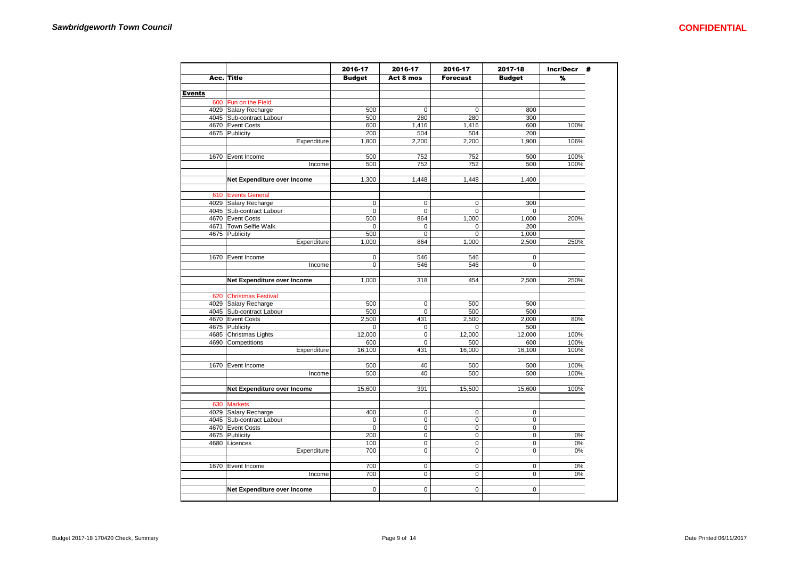|               |                             | 2016-17        | 2016-17     | 2016-17         | 2017-18                 | <b>Incr/Decr</b> | Ħ |
|---------------|-----------------------------|----------------|-------------|-----------------|-------------------------|------------------|---|
|               | Acc. Title                  | <b>Budget</b>  | Act 8 mos   | <b>Forecast</b> | <b>Budget</b>           | %                |   |
|               |                             |                |             |                 |                         |                  |   |
| <b>Events</b> |                             |                |             |                 |                         |                  |   |
|               | 600 Fun on the Field        |                |             |                 |                         |                  |   |
|               | 4029 Salary Recharge        | 500            | $\mathbf 0$ | $\mathbf 0$     | 800                     |                  |   |
|               | 4045 Sub-contract Labour    | 500            | 280         | 280             | 300                     |                  |   |
|               | 4670 Event Costs            | 600            | 1,416       | 1,416           | 600                     | 100%             |   |
|               | 4675 Publicity              | 200            | 504         | 504             | 200                     |                  |   |
|               | Expenditure                 | 1,800          | 2,200       | 2,200           | 1,900                   | 106%             |   |
|               | 1670 Event Income           | 500            | 752         | 752             | 500                     | 100%             |   |
|               | Income                      | 500            | 752         | 752             | 500                     | 100%             |   |
|               |                             |                |             |                 |                         |                  |   |
|               | Net Expenditure over Income | 1,300          | 1,448       | 1,448           | 1,400                   |                  |   |
|               |                             |                |             |                 |                         |                  |   |
|               | 610 Events General          |                |             |                 |                         |                  |   |
|               | 4029 Salary Recharge        | 0              | $\mathbf 0$ | $\mathbf 0$     | 300                     |                  |   |
|               | 4045 Sub-contract Labour    | $\overline{0}$ | $\mathbf 0$ | $\mathbf 0$     | $\mathbf 0$             |                  |   |
|               | 4670 Event Costs            | 500            | 864         | 1,000           | 1,000                   | 200%             |   |
|               | 4671 Town Selfie Walk       | $\pmb{0}$      | $\pmb{0}$   | $\mathbf 0$     | 200                     |                  |   |
|               | 4675 Publicity              | 500            | 0           | $\mathbf 0$     | 1,000                   |                  |   |
|               | Expenditure                 | 1,000          | 864         | 1,000           | 2,500                   | 250%             |   |
|               |                             |                |             |                 |                         |                  |   |
|               | 1670 Event Income           | 0<br>$\Omega$  | 546         | 546<br>546      | $\mathbf 0$<br>$\Omega$ |                  |   |
|               | Income                      |                | 546         |                 |                         |                  |   |
|               | Net Expenditure over Income | 1,000          | 318         | 454             | 2,500                   | 250%             |   |
|               |                             |                |             |                 |                         |                  |   |
|               | 620 Christmas Festival      |                |             |                 |                         |                  |   |
|               | 4029 Salary Recharge        | 500            | 0           | 500             | 500                     |                  |   |
|               | 4045 Sub-contract Labour    | 500            | 0           | 500             | 500                     |                  |   |
|               | 4670 Event Costs            | 2,500          | 431         | 2,500           | 2,000                   | 80%              |   |
|               | 4675 Publicity              | 0              | 0           | $\mathbf 0$     | 500                     |                  |   |
|               | 4685 Christmas Lights       | 12,000         | 0           | 12,000          | 12,000                  | 100%             |   |
|               | 4690 Competitions           | 600            | 0           | 500             | 600                     | 100%             |   |
|               | Expenditure                 | 16,100         | 431         | 16,000          | 16,100                  | 100%             |   |
|               |                             |                |             |                 |                         |                  |   |
|               | 1670 Event Income           | 500            | 40          | 500             | 500                     | 100%             |   |
|               | Income                      | 500            | 40          | 500             | 500                     | 100%             |   |
|               |                             |                |             |                 |                         |                  |   |
|               | Net Expenditure over Income | 15,600         | 391         | 15,500          | 15,600                  | 100%             |   |
|               |                             |                |             |                 |                         |                  |   |
|               | 630 Markets                 |                |             |                 |                         |                  |   |
|               | 4029 Salary Recharge        | 400            | $\pmb{0}$   | $\mathbf 0$     | $\pmb{0}$               |                  |   |
|               | 4045 Sub-contract Labour    | $\pmb{0}$      | $\pmb{0}$   | $\mathbf 0$     | $\pmb{0}$               |                  |   |
|               | 4670 Event Costs            | $\mathbf 0$    | $\mathbf 0$ | $\Omega$        | $\mathbf 0$             |                  |   |
|               | 4675 Publicity              | 200            | 0           | $\mathbf 0$     | $\mathbf 0$             | $0\%$            |   |
|               | 4680 Licences               | 100            | 0           | $\mathbf 0$     | $\pmb{0}$               | 0%               |   |
|               | Expenditure                 | 700            | 0           | $\mathbf 0$     | $\mathbf 0$             | 0%               |   |
|               | 1670 Event Income           | 700            | $\mathbf 0$ | $\mathbf 0$     | $\mathbf 0$             | 0%               |   |
|               | Income                      | 700            | $\pmb{0}$   | $\mathbf 0$     | $\pmb{0}$               | 0%               |   |
|               |                             |                |             |                 |                         |                  |   |
|               | Net Expenditure over Income | $\pmb{0}$      | $\pmb{0}$   | $\mathbf 0$     | $\pmb{0}$               |                  |   |
|               |                             |                |             |                 |                         |                  |   |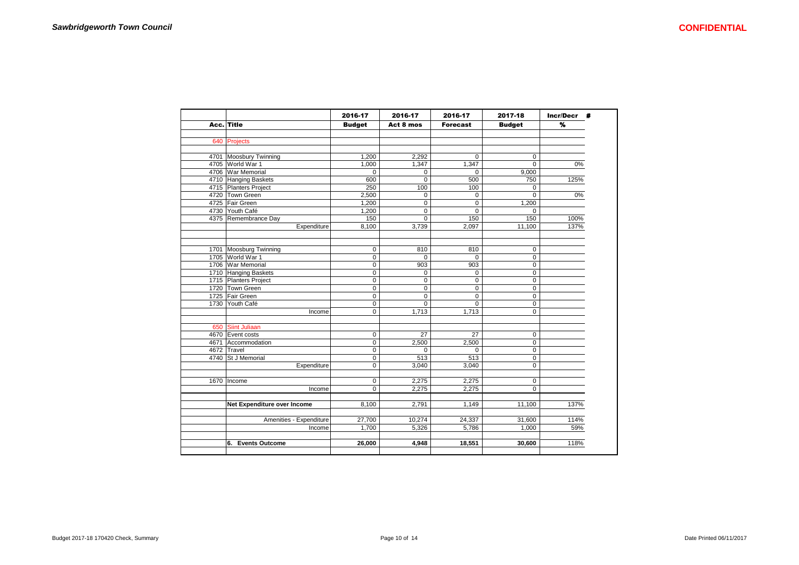|     |                             | 2016-17       | 2016-17        | 2016-17         | 2017-18       | Incr/Decr #   |
|-----|-----------------------------|---------------|----------------|-----------------|---------------|---------------|
|     | Acc. Title                  | <b>Budget</b> | Act 8 mos      | <b>Forecast</b> | <b>Budget</b> | $\frac{9}{6}$ |
|     |                             |               |                |                 |               |               |
|     | 640 Projects                |               |                |                 |               |               |
|     | 4701 Moosbury Twinning      | 1,200         | 2,292          | 0               | 0             |               |
|     | 4705 World War 1            | 1,000         | 1,347          | 1,347           | $\Omega$      | $0\%$         |
|     | 4706 War Memorial           | 0             | 0              | 0               | 9,000         |               |
|     | 4710 Hanging Baskets        | 600           | $\mathbf 0$    | 500             | 750           | 125%          |
|     | 4715 Planters Project       | 250           | 100            | 100             | $\Omega$      |               |
|     | 4720 Town Green             | 2,500         | 0              | 0               | $\Omega$      | 0%            |
|     | 4725 Fair Green             | 1,200         | $\pmb{0}$      | 0               | 1,200         |               |
|     | 4730 Youth Café             | 1,200         | $\mathbf 0$    | $\Omega$        | $\Omega$      |               |
|     | 4375 Remembrance Day        | 150           | 0              | 150             | 150           | 100%          |
|     | Expenditure                 | 8,100         | 3,739          | 2,097           | 11,100        | 137%          |
|     |                             |               |                |                 |               |               |
|     | 1701 Moosburg Twinning      | 0             | 810            | 810             | 0             |               |
|     | 1705 World War 1            | $\mathbf 0$   | $\Omega$       | $\mathbf 0$     | $\mathbf 0$   |               |
|     | 1706 War Memorial           | $\mathbf 0$   | 903            | 903             | 0             |               |
|     | 1710 Hanging Baskets        | $\Omega$      | $\mathbf 0$    | $\Omega$        | $\Omega$      |               |
|     | 1715 Planters Project       | $\mathbf 0$   | $\mathbf 0$    | 0               | 0             |               |
|     | 1720 Town Green             | $\mathbf 0$   | $\mathbf 0$    | 0               | 0             |               |
|     | 1725   Fair Green           | $\mathbf 0$   | $\mathbf 0$    | 0               | 0             |               |
|     | 1730 Youth Café             | 0             | $\overline{0}$ | 0               | 0             |               |
|     | Income                      | 0             | 1,713          | 1,713           | 0             |               |
|     |                             |               |                |                 |               |               |
| 650 | Siint Juliaan               |               |                |                 |               |               |
|     | 4670 Event costs            | $\mathbf 0$   | 27             | 27              | 0             |               |
|     | 4671 Accommodation          | 0             | 2,500          | 2,500           | 0             |               |
|     | 4672 Travel                 | 0             | 0              | 0               | 0             |               |
|     | 4740 St J Memorial          | 0             | 513            | 513             | 0             |               |
|     | Expenditure                 | 0             | 3,040          | 3,040           | 0             |               |
|     | 1670   Income               | 0             | 2,275          | 2,275           | 0             |               |
|     | Income                      | $\Omega$      | 2,275          | 2,275           | $\Omega$      |               |
|     |                             |               |                |                 |               |               |
|     | Net Expenditure over Income | 8,100         | 2,791          | 1,149           | 11,100        | 137%          |
|     | Amenities - Expenditure     | 27,700        | 10,274         | 24,337          | 31,600        | 114%          |
|     | Income                      | 1,700         | 5,326          | 5,786           | 1,000         | 59%           |
|     |                             |               |                |                 |               |               |
|     | 6. Events Outcome           | 26,000        | 4,948          | 18,551          | 30,600        | 118%          |
|     |                             |               |                |                 |               |               |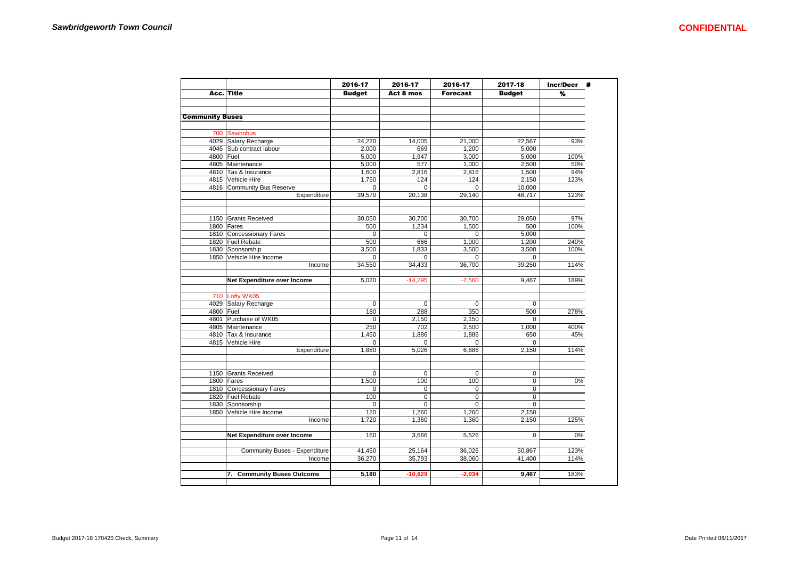|                        |                               | 2016-17       | 2016-17        | 2016-17         | 2017-18       | Incr/Decr<br>- 46 |
|------------------------|-------------------------------|---------------|----------------|-----------------|---------------|-------------------|
| Acc.                   | <b>Title</b>                  | <b>Budget</b> | Act 8 mos      | <b>Forecast</b> | <b>Budget</b> | %                 |
|                        |                               |               |                |                 |               |                   |
|                        |                               |               |                |                 |               |                   |
| <b>Community Buses</b> |                               |               |                |                 |               |                   |
|                        |                               |               |                |                 |               |                   |
| 700                    | <b>Sawbobus</b>               |               |                |                 |               |                   |
|                        | 4029 Salary Recharge          | 24,220        | 14,005         | 21,000          | 22,567        | 93%               |
|                        | 4045 Sub contract labour      | 2,000         | 669            | 1,200           | 5,000         |                   |
| 4800 Fuel              |                               | 5,000         | 1,947          | 3,000           | 5,000         | 100%              |
|                        | 4805 Maintenance              | 5,000         | 577            | 1,000           | 2,500         | 50%               |
|                        | 4810 Tax & Insurance          | 1,600         | 2,816          | 2,816           | 1,500         | 94%               |
|                        | 4815 Vehicle Hire             | 1,750         | 124            | 124             | 2,150         | 123%              |
|                        | 4816 Community Bus Reserve    | $\mathbf 0$   | 0              | 0               | 10,000        |                   |
|                        | Expenditure                   | 39,570        | 20,138         | 29,140          | 48,717        | 123%              |
|                        |                               |               |                |                 |               |                   |
|                        |                               |               |                |                 |               |                   |
|                        | 1150 Grants Received          | 30,050        | 30,700         | 30,700          | 29,050        | 97%               |
|                        | 1800 Fares                    | 500           | 1,234          | 1,500           | 500           | 100%              |
|                        | 1810 Concessionary Fares      | $\Omega$      | $\Omega$       | $\Omega$        | 5,000         |                   |
|                        | 1820 Fuel Rebate              | 500           | 666            | 1,000           | 1,200         | 240%              |
|                        | 1830 Sponsorship              | 3,500         | 1,833          | 3,500           | 3,500         | 100%              |
| 1850                   | Vehicle Hire Income           | $\Omega$      |                |                 |               |                   |
|                        |                               |               | 0              | 0               | 0             |                   |
|                        | Income                        | 34,550        | 34,433         | 36,700          | 39,250        | 114%              |
|                        |                               |               |                |                 |               |                   |
|                        | Net Expenditure over Income   | 5,020         | $-14,295$      | $-7,560$        | 9,467         | 189%              |
|                        |                               |               |                |                 |               |                   |
|                        | 710 Lofty WK05                |               |                |                 |               |                   |
|                        | 4029 Salary Recharge          | $\mathbf 0$   | $\mathbf 0$    | $\mathbf 0$     | $\mathbf 0$   |                   |
| 4800 Fuel              |                               | 180           | 288            | 350             | 500           | 278%              |
|                        | 4801 Purchase of WK05         | $\Omega$      | 2,150          | 2,150           | $\Omega$      |                   |
|                        | 4805 Maintenance              | 250           | 702            | 2,500           | 1,000         | 400%              |
|                        | 4810 Tax & Insurance          | 1,450         | 1,886          | 1,886           | 650           | 45%               |
|                        | 4815 Vehicle Hire             | $\Omega$      | $\mathbf 0$    | $\Omega$        | $\Omega$      |                   |
|                        | Expenditure                   | 1,880         | 5,026          | 6,886           | 2,150         | 114%              |
|                        |                               |               |                |                 |               |                   |
|                        |                               |               |                |                 |               |                   |
|                        | 1150 Grants Received          | $\mathbf 0$   | 0              | 0               | $\mathbf 0$   |                   |
|                        | 1800   Fares                  | 1,500         | 100            | 100             | $\mathbf 0$   | 0%                |
|                        | 1810 Concessionary Fares      | $\mathbf 0$   | 0              | 0               | $\mathbf 0$   |                   |
|                        | 1820 Fuel Rebate              | 100           | $\overline{0}$ | 0               | $\mathbf 0$   |                   |
|                        | 1830 Sponsorship              | $\mathbf 0$   | 0              | 0               | $\mathbf 0$   |                   |
|                        | 1850 Vehicle Hire Income      |               |                |                 |               |                   |
|                        |                               | 120           | 1,260          | 1,260           | 2,150         |                   |
|                        | Income                        | 1,720         | 1,360          | 1,360           | 2,150         | 125%              |
|                        |                               |               |                |                 |               |                   |
|                        | Net Expenditure over Income   | 160           | 3,666          | 5,526           | 0             | 0%                |
|                        |                               |               |                |                 |               |                   |
|                        | Community Buses - Expenditure | 41,450        | 25,164         | 36,026          | 50,867        | 123%              |
|                        | Income                        | 36,270        | 35,793         | 38,060          | 41,400        | 114%              |
|                        |                               |               |                |                 |               |                   |
|                        | 7. Community Buses Outcome    | 5,180         | $-10,629$      | $-2,034$        | 9,467         | 183%              |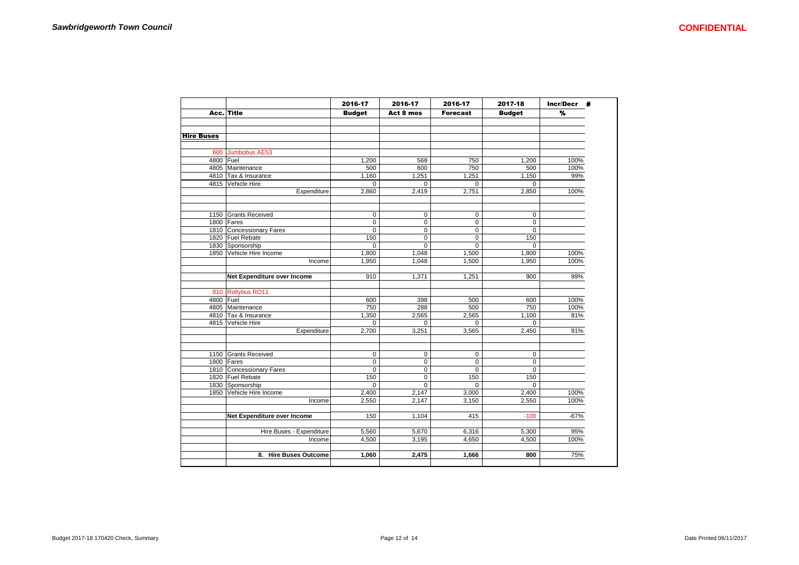|                   |                             | 2016-17       | 2016-17     | 2016-17         | 2017-18       | Incr/Decr # |  |
|-------------------|-----------------------------|---------------|-------------|-----------------|---------------|-------------|--|
|                   | Acc. Title                  | <b>Budget</b> | Act 8 mos   | <b>Forecast</b> | <b>Budget</b> | %           |  |
|                   |                             |               |             |                 |               |             |  |
|                   |                             |               |             |                 |               |             |  |
| <b>Hire Buses</b> |                             |               |             |                 |               |             |  |
|                   | 800 Jumbobus AE53           |               |             |                 |               |             |  |
| 4800 Fuel         |                             | 1,200         | 568         | 750             | 1,200         | 100%        |  |
|                   | 4805 Maintenance            | 500           | 600         | 750             | 500           | 100%        |  |
|                   | 4810 Tax & Insurance        | 1,160         | 1,251       | 1,251           | 1,150         | 99%         |  |
|                   | 4815 Vehicle Hire           | 0             | $\Omega$    | $\Omega$        | $\Omega$      |             |  |
|                   | Expenditure                 | 2,860         | 2,419       | 2,751           | 2,850         | 100%        |  |
|                   |                             |               |             |                 |               |             |  |
|                   | 1150 Grants Received        | $\pmb{0}$     | $\mathbf 0$ | $\mathbf 0$     | 0             |             |  |
|                   | 1800 Fares                  | 0             | 0           | $\mathbf 0$     | 0             |             |  |
|                   | 1810 Concessionary Fares    | $\mathbf 0$   | 0           | $\mathbf 0$     | $\mathbf 0$   |             |  |
|                   | 1820 Fuel Rebate            | 150           | $\mathbf 0$ | $\mathbf 0$     | 150           |             |  |
|                   | 1830 Sponsorship            | $\mathbf 0$   | $\mathbf 0$ | $\pmb{0}$       | 0             |             |  |
|                   | 1850 Vehicle Hire Income    | 1,800         | 1,048       | 1,500           | 1,800         | 100%        |  |
|                   | Income                      | 1,950         | 1,048       | 1,500           | 1,950         | 100%        |  |
|                   | Net Expenditure over Income | 910           | 1,371       | 1,251           | 900           | 99%         |  |
|                   | 810 Rollybus RO11           |               |             |                 |               |             |  |
| 4800 Fuel         |                             | 600           | 398         | 500             | 600           | 100%        |  |
|                   | 4805 Maintenance            | 750           | 288         | 500             | 750           | 100%        |  |
|                   | 4810 Tax & Insurance        | 1,350         | 2,565       | 2,565           | 1,100         | 81%         |  |
|                   | 4815 Vehicle Hire           | $\Omega$      | $\mathbf 0$ | $\Omega$        | $\Omega$      |             |  |
|                   | Expenditure                 | 2,700         | 3,251       | 3,565           | 2,450         | 91%         |  |
|                   |                             |               |             |                 |               |             |  |
|                   | 1150 Grants Received        | $\mathbf 0$   | 0           | $\pmb{0}$       | 0             |             |  |
|                   | 1800 Fares                  | 0             | $\mathbf 0$ | $\mathbf 0$     | 0             |             |  |
|                   | 1810 Concessionary Fares    | $\pmb{0}$     | 0           | $\pmb{0}$       | 0             |             |  |
|                   | 1820 Fuel Rebate            | 150           | $\mathbf 0$ | 150             | 150           |             |  |
|                   | 1830 Sponsorship            | $\Omega$      | $\mathbf 0$ | $\Omega$        | $\mathbf 0$   |             |  |
|                   | 1850 Vehicle Hire Income    | 2,400         | 2,147       | 3,000           | 2,400         | 100%        |  |
|                   | Income                      | 2,550         | 2,147       | 3,150           | 2,550         | 100%        |  |
|                   | Net Expenditure over Income | 150           | 1,104       | 415             | $-100$        | $-67%$      |  |
|                   | Hire Buses - Expenditure    | 5,560         | 5,670       | 6,316           | 5,300         | 95%         |  |
|                   | Income                      | 4,500         | 3,195       | 4,650           | 4,500         | 100%        |  |
|                   |                             |               |             |                 |               |             |  |
|                   | 8. Hire Buses Outcome       | 1,060         | 2,475       | 1,666           | 800           | 75%         |  |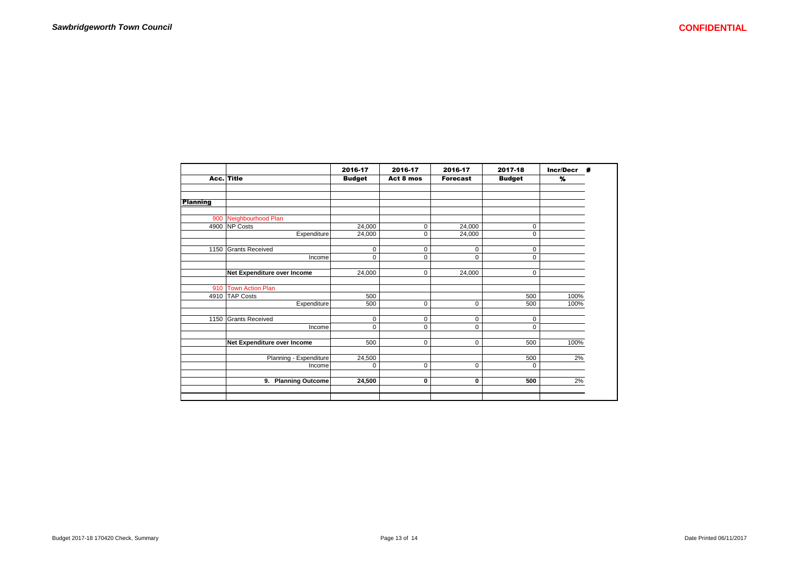|                 |                                  | 2016-17       | 2016-17     | 2016-17         | 2017-18       | Incr/Decr #<br>$\%$ |  |
|-----------------|----------------------------------|---------------|-------------|-----------------|---------------|---------------------|--|
|                 | Acc. Title                       | <b>Budget</b> | Act 8 mos   | <b>Forecast</b> | <b>Budget</b> |                     |  |
|                 |                                  |               |             |                 |               |                     |  |
| <b>Planning</b> |                                  |               |             |                 |               |                     |  |
|                 |                                  |               |             |                 |               |                     |  |
|                 | 900 Neighbourhood Plan           |               |             |                 |               |                     |  |
|                 | 4900 NP Costs                    | 24,000        | $\mathbf 0$ | 24,000          | 0             |                     |  |
|                 | Expenditure                      | 24,000        | 0           | 24,000          | 0             |                     |  |
| 1150            | <b>Grants Received</b>           | $\mathbf 0$   | 0           | $\mathbf 0$     | 0             |                     |  |
|                 | Income                           | $\mathbf 0$   | $\mathbf 0$ | 0               | 0             |                     |  |
|                 | Net Expenditure over Income      | 24,000        | $\mathbf 0$ | 24,000          | 0             |                     |  |
|                 |                                  |               |             |                 |               |                     |  |
| 910             | <b>Town Action Plan</b>          |               |             |                 |               |                     |  |
|                 | 4910 TAP Costs                   | 500           |             |                 | 500           | 100%                |  |
|                 | Expenditure                      | 500           | 0           | 0               | 500           | 100%                |  |
| 1150            | <b>Grants Received</b>           | $\pmb{0}$     | $\mathbf 0$ | $\mathbf 0$     | 0             |                     |  |
|                 | Income                           | $\mathbf 0$   | $\mathbf 0$ | 0               | 0             |                     |  |
|                 | Net Expenditure over Income      | 500           | $\mathbf 0$ | $\mathbf 0$     | 500           | 100%                |  |
|                 |                                  |               |             |                 |               |                     |  |
|                 | Planning - Expenditure<br>Income | 24,500<br>0   | $\mathbf 0$ | $\mathbf 0$     | 500<br>0      | 2%                  |  |
|                 |                                  |               |             |                 |               |                     |  |
|                 | 9. Planning Outcome              | 24,500        | 0           | 0               | 500           | 2%                  |  |
|                 |                                  |               |             |                 |               |                     |  |
|                 |                                  |               |             |                 |               |                     |  |